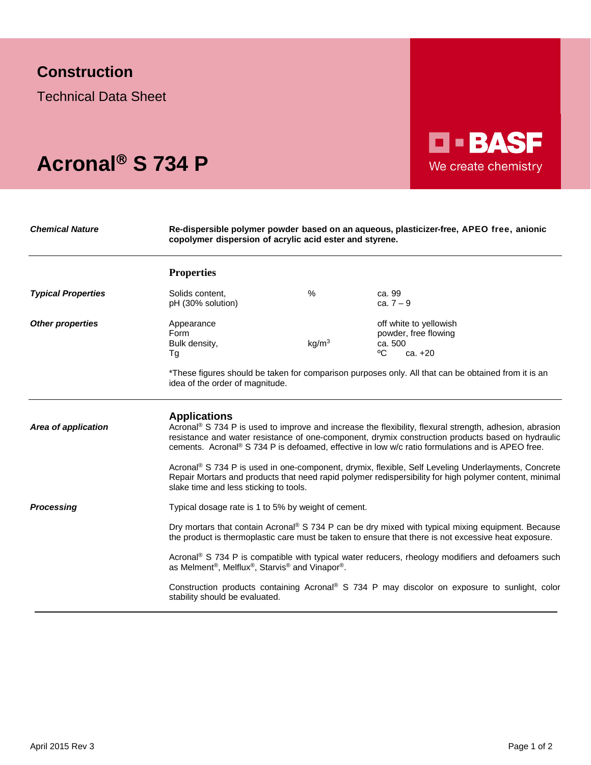## **Construction**

Technical Data Sheet

## Acronal<sup>®</sup> S 734 P

*Chemical Nature* **Re-dispersible polymer powder based on an aqueous, plasticizer-free, APEO free, anionic copolymer dispersion of acrylic acid ester and styrene.**

**D-BASF** 

We create chemistry

|                           | <b>Properties</b>                                                                                                                                                                                                                                                                                                                                                                                                                                                                                                                                                                                 |                   |                                                                                                                                                                                   |  |
|---------------------------|---------------------------------------------------------------------------------------------------------------------------------------------------------------------------------------------------------------------------------------------------------------------------------------------------------------------------------------------------------------------------------------------------------------------------------------------------------------------------------------------------------------------------------------------------------------------------------------------------|-------------------|-----------------------------------------------------------------------------------------------------------------------------------------------------------------------------------|--|
| <b>Typical Properties</b> | Solids content,<br>pH (30% solution)                                                                                                                                                                                                                                                                                                                                                                                                                                                                                                                                                              | %                 | ca. 99<br>ca. $7 - 9$                                                                                                                                                             |  |
| <b>Other properties</b>   | Appearance<br>Form<br>Bulk density,<br>Тg                                                                                                                                                                                                                                                                                                                                                                                                                                                                                                                                                         | kg/m <sup>3</sup> | off white to yellowish<br>powder, free flowing<br>ca. 500<br>°C<br>ca. +20<br>*These figures should be taken for comparison purposes only. All that can be obtained from it is an |  |
|                           | idea of the order of magnitude.                                                                                                                                                                                                                                                                                                                                                                                                                                                                                                                                                                   |                   |                                                                                                                                                                                   |  |
| Area of application       | <b>Applications</b><br>Acronal® S 734 P is used to improve and increase the flexibility, flexural strength, adhesion, abrasion<br>resistance and water resistance of one-component, drymix construction products based on hydraulic<br>cements. Acronal® S 734 P is defoamed, effective in low w/c ratio formulations and is APEO free.<br>Acronal® S 734 P is used in one-component, drymix, flexible, Self Leveling Underlayments, Concrete<br>Repair Mortars and products that need rapid polymer redispersibility for high polymer content, minimal<br>slake time and less sticking to tools. |                   |                                                                                                                                                                                   |  |
| <b>Processing</b>         | Typical dosage rate is 1 to 5% by weight of cement.                                                                                                                                                                                                                                                                                                                                                                                                                                                                                                                                               |                   |                                                                                                                                                                                   |  |
|                           | Dry mortars that contain Acronal® S 734 P can be dry mixed with typical mixing equipment. Because<br>the product is thermoplastic care must be taken to ensure that there is not excessive heat exposure.                                                                                                                                                                                                                                                                                                                                                                                         |                   |                                                                                                                                                                                   |  |
|                           | Acronal® S 734 P is compatible with typical water reducers, rheology modifiers and defoamers such<br>as Melment <sup>®</sup> , Melflux <sup>®</sup> , Starvis <sup>®</sup> and Vinapor <sup>®</sup> .                                                                                                                                                                                                                                                                                                                                                                                             |                   |                                                                                                                                                                                   |  |
|                           | Construction products containing Acronal® S 734 P may discolor on exposure to sunlight, color<br>stability should be evaluated.                                                                                                                                                                                                                                                                                                                                                                                                                                                                   |                   |                                                                                                                                                                                   |  |